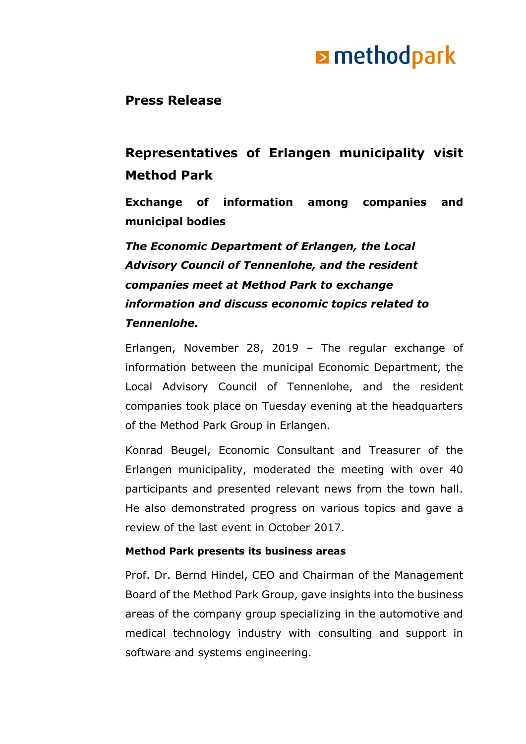## **E** methodpark

### **Press Release**

### **Representatives of Erlangen municipality visit Method Park**

**Exchange of information among companies and municipal bodies**

### *The Economic Department of Erlangen, the Local Advisory Council of Tennenlohe, and the resident companies meet at Method Park to exchange information and discuss economic topics related to Tennenlohe.*

Erlangen, November 28, 2019 – The regular exchange of information between the municipal Economic Department, the Local Advisory Council of Tennenlohe, and the resident companies took place on Tuesday evening at the headquarters of the Method Park Group in Erlangen.

Konrad Beugel, Economic Consultant and Treasurer of the Erlangen municipality, moderated the meeting with over 40 participants and presented relevant news from the town hall. He also demonstrated progress on various topics and gave a review of the last event in October 2017.

#### **Method Park presents its business areas**

Prof. Dr. Bernd Hindel, CEO and Chairman of the Management Board of the Method Park Group, gave insights into the business areas of the company group specializing in the automotive and medical technology industry with consulting and support in software and systems engineering.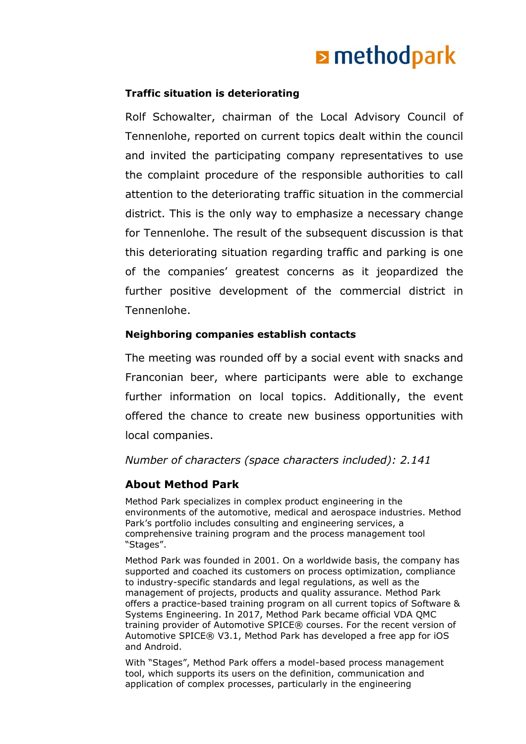# **E** methodpark

#### **Traffic situation is deteriorating**

Rolf Schowalter, chairman of the Local Advisory Council of Tennenlohe, reported on current topics dealt within the council and invited the participating company representatives to use the complaint procedure of the responsible authorities to call attention to the deteriorating traffic situation in the commercial district. This is the only way to emphasize a necessary change for Tennenlohe. The result of the subsequent discussion is that this deteriorating situation regarding traffic and parking is one of the companies' greatest concerns as it jeopardized the further positive development of the commercial district in Tennenlohe.

#### **Neighboring companies establish contacts**

The meeting was rounded off by a social event with snacks and Franconian beer, where participants were able to exchange further information on local topics. Additionally, the event offered the chance to create new business opportunities with local companies.

#### *Number of characters (space characters included): 2.141*

#### **About Method Park**

Method Park specializes in complex product engineering in the environments of the automotive, medical and aerospace industries. Method Park's portfolio includes consulting and engineering services, a comprehensive training program and the process management tool "Stages".

Method Park was founded in 2001. On a worldwide basis, the company has supported and coached its customers on process optimization, compliance to industry-specific standards and legal regulations, as well as the management of projects, products and quality assurance. Method Park offers a practice-based training program on all current topics of Software & Systems Engineering. In 2017, Method Park became official VDA QMC training provider of Automotive SPICE® courses. For the recent version of Automotive SPICE® V3.1, Method Park has developed a free app for iOS and Android.

With "Stages", Method Park offers a model-based process management tool, which supports its users on the definition, communication and application of complex processes, particularly in the engineering